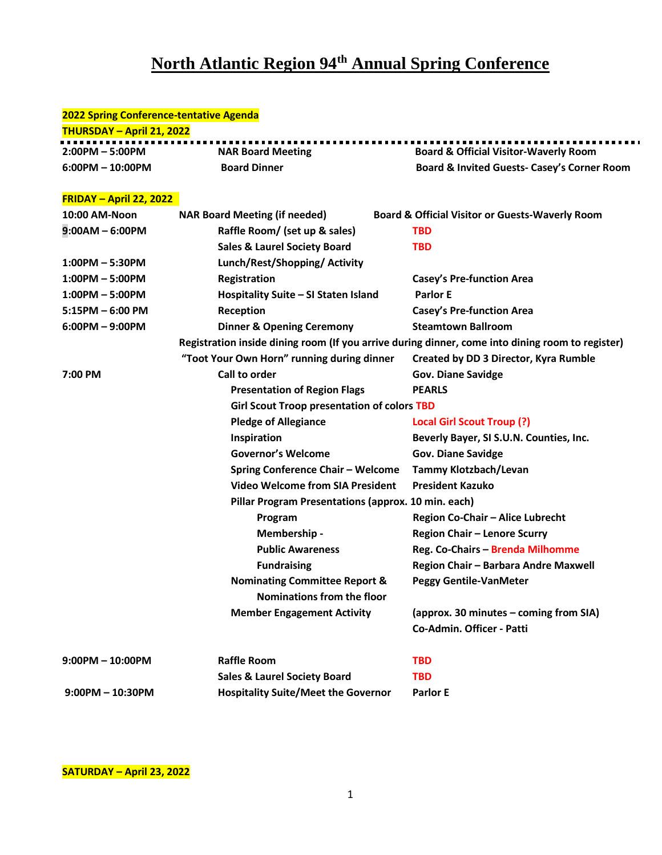## **North Atlantic Region 94th Annual Spring Conference**

## **2022 Spring Conference-tentative Agenda**

| <b>THURSDAY - April 21, 2022</b> |                          |                                                        |
|----------------------------------|--------------------------|--------------------------------------------------------|
| $2:00PM - 5:00PM$                | <b>NAR Board Meeting</b> | <b>Board &amp; Official Visitor-Waverly Room</b>       |
| $6:00$ PM $-10:00$ PM            | <b>Board Dinner</b>      | <b>Board &amp; Invited Guests- Casey's Corner Room</b> |

## **FRIDAY – April 22, 2022**

| 10:00 AM-Noon          | <b>NAR Board Meeting (if needed)</b>                | <b>Board &amp; Official Visitor or Guests-Waverly Room</b>                                       |
|------------------------|-----------------------------------------------------|--------------------------------------------------------------------------------------------------|
| $9:00AM - 6:00PM$      | Raffle Room/ (set up & sales)                       | <b>TBD</b>                                                                                       |
|                        | <b>Sales &amp; Laurel Society Board</b>             | <b>TBD</b>                                                                                       |
| $1:00PM - 5:30PM$      | Lunch/Rest/Shopping/ Activity                       |                                                                                                  |
| $1:00PM - 5:00PM$      | Registration                                        | <b>Casey's Pre-function Area</b>                                                                 |
| $1:00PM - 5:00PM$      | Hospitality Suite - SI Staten Island                | <b>Parlor E</b>                                                                                  |
| $5:15PM - 6:00 PM$     | Reception                                           | <b>Casey's Pre-function Area</b>                                                                 |
| $6:00PM - 9:00PM$      | <b>Dinner &amp; Opening Ceremony</b>                | <b>Steamtown Ballroom</b>                                                                        |
|                        |                                                     | Registration inside dining room (If you arrive during dinner, come into dining room to register) |
|                        | "Toot Your Own Horn" running during dinner          | Created by DD 3 Director, Kyra Rumble                                                            |
| 7:00 PM                | Call to order                                       | <b>Gov. Diane Savidge</b>                                                                        |
|                        | <b>Presentation of Region Flags</b>                 | <b>PEARLS</b>                                                                                    |
|                        | <b>Girl Scout Troop presentation of colors TBD</b>  |                                                                                                  |
|                        | <b>Pledge of Allegiance</b>                         | Local Girl Scout Troup (?)                                                                       |
|                        | Inspiration                                         | Beverly Bayer, SI S.U.N. Counties, Inc.                                                          |
|                        | <b>Governor's Welcome</b>                           | <b>Gov. Diane Savidge</b>                                                                        |
|                        | <b>Spring Conference Chair - Welcome</b>            | <b>Tammy Klotzbach/Levan</b>                                                                     |
|                        | <b>Video Welcome from SIA President</b>             | <b>President Kazuko</b>                                                                          |
|                        | Pillar Program Presentations (approx. 10 min. each) |                                                                                                  |
|                        | Program                                             | Region Co-Chair - Alice Lubrecht                                                                 |
|                        | Membership -                                        | <b>Region Chair - Lenore Scurry</b>                                                              |
|                        | <b>Public Awareness</b>                             | Reg. Co-Chairs - Brenda Milhomme                                                                 |
|                        | <b>Fundraising</b>                                  | Region Chair - Barbara Andre Maxwell                                                             |
|                        | <b>Nominating Committee Report &amp;</b>            | <b>Peggy Gentile-VanMeter</b>                                                                    |
|                        | Nominations from the floor                          |                                                                                                  |
|                        | <b>Member Engagement Activity</b>                   | (approx. 30 minutes - coming from SIA)                                                           |
|                        |                                                     | Co-Admin. Officer - Patti                                                                        |
| $9:00PM - 10:00PM$     | <b>Raffle Room</b>                                  | <b>TBD</b>                                                                                       |
|                        | <b>Sales &amp; Laurel Society Board</b>             | <b>TBD</b>                                                                                       |
| $9:00$ PM $- 10:30$ PM | <b>Hospitality Suite/Meet the Governor</b>          | <b>Parlor E</b>                                                                                  |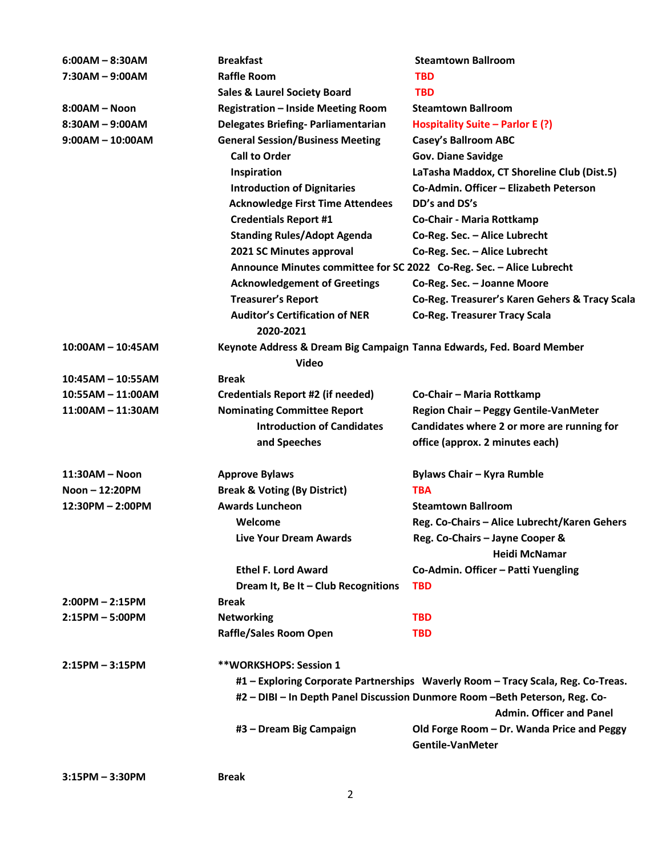| $6:00AM - 8:30AM$   | <b>Breakfast</b>                                                                                               | <b>Steamtown Ballroom</b>                                             |  |
|---------------------|----------------------------------------------------------------------------------------------------------------|-----------------------------------------------------------------------|--|
| $7:30AM - 9:00AM$   | <b>Raffle Room</b>                                                                                             | <b>TBD</b>                                                            |  |
|                     | <b>Sales &amp; Laurel Society Board</b>                                                                        | <b>TBD</b>                                                            |  |
| $8:00AM - Noon$     | <b>Registration - Inside Meeting Room</b>                                                                      | <b>Steamtown Ballroom</b>                                             |  |
| $8:30AM - 9:00AM$   | <b>Delegates Briefing- Parliamentarian</b>                                                                     | Hospitality Suite – Parlor E (?)                                      |  |
| $9:00AM - 10:00AM$  | <b>General Session/Business Meeting</b>                                                                        | <b>Casey's Ballroom ABC</b>                                           |  |
|                     | <b>Call to Order</b>                                                                                           | <b>Gov. Diane Savidge</b>                                             |  |
|                     | Inspiration                                                                                                    | LaTasha Maddox, CT Shoreline Club (Dist.5)                            |  |
|                     | <b>Introduction of Dignitaries</b>                                                                             | Co-Admin. Officer - Elizabeth Peterson                                |  |
|                     | <b>Acknowledge First Time Attendees</b>                                                                        | DD's and DS's                                                         |  |
|                     | <b>Credentials Report #1</b>                                                                                   | Co-Chair - Maria Rottkamp                                             |  |
|                     | <b>Standing Rules/Adopt Agenda</b>                                                                             | Co-Reg. Sec. - Alice Lubrecht                                         |  |
|                     | 2021 SC Minutes approval                                                                                       | Co-Reg. Sec. - Alice Lubrecht                                         |  |
|                     | Announce Minutes committee for SC 2022 Co-Reg. Sec. - Alice Lubrecht                                           |                                                                       |  |
|                     | <b>Acknowledgement of Greetings</b>                                                                            | Co-Reg. Sec. - Joanne Moore                                           |  |
|                     | <b>Treasurer's Report</b>                                                                                      | Co-Reg. Treasurer's Karen Gehers & Tracy Scala                        |  |
|                     | <b>Auditor's Certification of NER</b><br>2020-2021                                                             | <b>Co-Reg. Treasurer Tracy Scala</b>                                  |  |
| $10:00AM - 10:45AM$ | Keynote Address & Dream Big Campaign Tanna Edwards, Fed. Board Member                                          |                                                                       |  |
|                     | Video                                                                                                          |                                                                       |  |
| $10:45AM - 10:55AM$ | <b>Break</b>                                                                                                   |                                                                       |  |
| $10:55AM - 11:00AM$ | Credentials Report #2 (if needed)                                                                              | Co-Chair - Maria Rottkamp                                             |  |
| $11:00AM - 11:30AM$ | <b>Nominating Committee Report</b>                                                                             | Region Chair - Peggy Gentile-VanMeter                                 |  |
|                     | <b>Introduction of Candidates</b>                                                                              | Candidates where 2 or more are running for                            |  |
|                     | and Speeches                                                                                                   | office (approx. 2 minutes each)                                       |  |
| $11:30AM - Noon$    | <b>Approve Bylaws</b>                                                                                          | Bylaws Chair - Kyra Rumble                                            |  |
| Noon $-12:20PM$     | <b>Break &amp; Voting (By District)</b>                                                                        | <b>TBA</b>                                                            |  |
| 12:30PM - 2:00PM    | <b>Awards Luncheon</b>                                                                                         | <b>Steamtown Ballroom</b>                                             |  |
|                     | Welcome                                                                                                        | Reg. Co-Chairs - Alice Lubrecht/Karen Gehers                          |  |
|                     | <b>Live Your Dream Awards</b>                                                                                  | Reg. Co-Chairs - Jayne Cooper &                                       |  |
|                     |                                                                                                                | Heidi McNamar                                                         |  |
|                     | <b>Ethel F. Lord Award</b>                                                                                     | Co-Admin. Officer - Patti Yuengling                                   |  |
|                     | Dream It, Be It - Club Recognitions                                                                            | <b>TBD</b>                                                            |  |
| $2:00PM - 2:15PM$   | <b>Break</b>                                                                                                   |                                                                       |  |
| $2:15PM - 5:00PM$   | <b>Networking</b>                                                                                              | <b>TBD</b>                                                            |  |
|                     | <b>Raffle/Sales Room Open</b>                                                                                  | <b>TBD</b>                                                            |  |
| $2:15PM - 3:15PM$   | **WORKSHOPS: Session 1                                                                                         |                                                                       |  |
|                     | #1 - Exploring Corporate Partnerships Waverly Room - Tracy Scala, Reg. Co-Treas.                               |                                                                       |  |
|                     | #2 - DIBI - In Depth Panel Discussion Dunmore Room -Beth Peterson, Reg. Co-<br><b>Admin. Officer and Panel</b> |                                                                       |  |
|                     | #3 - Dream Big Campaign                                                                                        | Old Forge Room - Dr. Wanda Price and Peggy<br><b>Gentile-VanMeter</b> |  |
|                     |                                                                                                                |                                                                       |  |